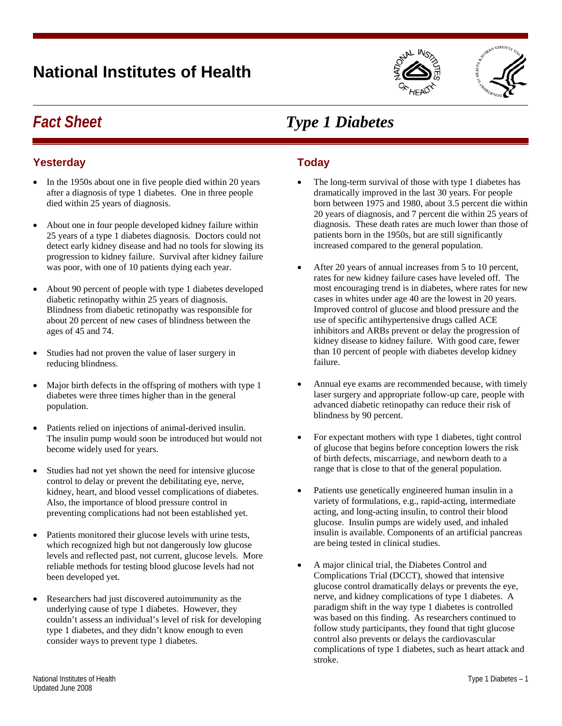# **National Institutes of Health**





### *Fact Sheet Type 1 Diabetes*

#### **Yesterday**

- In the 1950s about one in five people died within 20 years after a diagnosis of type 1 diabetes. One in three people died within 25 years of diagnosis.
- About one in four people developed kidney failure within 25 years of a type 1 diabetes diagnosis. Doctors could not detect early kidney disease and had no tools for slowing its progression to kidney failure. Survival after kidney failure was poor, with one of 10 patients dying each year.
- About 90 percent of people with type 1 diabetes developed diabetic retinopathy within 25 years of diagnosis. Blindness from diabetic retinopathy was responsible for about 20 percent of new cases of blindness between the ages of 45 and 74.
- Studies had not proven the value of laser surgery in reducing blindness.
- Major birth defects in the offspring of mothers with type 1 diabetes were three times higher than in the general population.
- Patients relied on injections of animal-derived insulin. The insulin pump would soon be introduced but would not become widely used for years.
- Studies had not yet shown the need for intensive glucose control to delay or prevent the debilitating eye, nerve, kidney, heart, and blood vessel complications of diabetes. Also, the importance of blood pressure control in preventing complications had not been established yet.
- Patients monitored their glucose levels with urine tests, which recognized high but not dangerously low glucose levels and reflected past, not current, glucose levels. More reliable methods for testing blood glucose levels had not been developed yet.
- Researchers had just discovered autoimmunity as the underlying cause of type 1 diabetes. However, they couldn't assess an individual's level of risk for developing type 1 diabetes, and they didn't know enough to even consider ways to prevent type 1 diabetes.

## **Today**

- The long-term survival of those with type 1 diabetes has dramatically improved in the last 30 years. For people born between 1975 and 1980, about 3.5 percent die within 20 years of diagnosis, and 7 percent die within 25 years of diagnosis. These death rates are much lower than those of patients born in the 1950s, but are still significantly increased compared to the general population.
- After 20 years of annual increases from 5 to 10 percent, rates for new kidney failure cases have leveled off. The most encouraging trend is in diabetes, where rates for new cases in whites under age 40 are the lowest in 20 years. Improved control of glucose and blood pressure and the use of specific antihypertensive drugs called ACE inhibitors and ARBs prevent or delay the progression of kidney disease to kidney failure. With good care, fewer than 10 percent of people with diabetes develop kidney failure.
- Annual eye exams are recommended because, with timely laser surgery and appropriate follow-up care, people with advanced diabetic retinopathy can reduce their risk of blindness by 90 percent.
- For expectant mothers with type 1 diabetes, tight control of glucose that begins before conception lowers the risk of birth defects, miscarriage, and newborn death to a range that is close to that of the general population.
- Patients use genetically engineered human insulin in a variety of formulations, e.g., rapid-acting, intermediate acting, and long-acting insulin, to control their blood glucose. Insulin pumps are widely used, and inhaled insulin is available. Components of an artificial pancreas are being tested in clinical studies.
- A major clinical trial, the Diabetes Control and Complications Trial (DCCT), showed that intensive glucose control dramatically delays or prevents the eye, nerve, and kidney complications of type 1 diabetes. A paradigm shift in the way type 1 diabetes is controlled was based on this finding. As researchers continued to follow study participants, they found that tight glucose control also prevents or delays the cardiovascular complications of type 1 diabetes, such as heart attack and stroke.